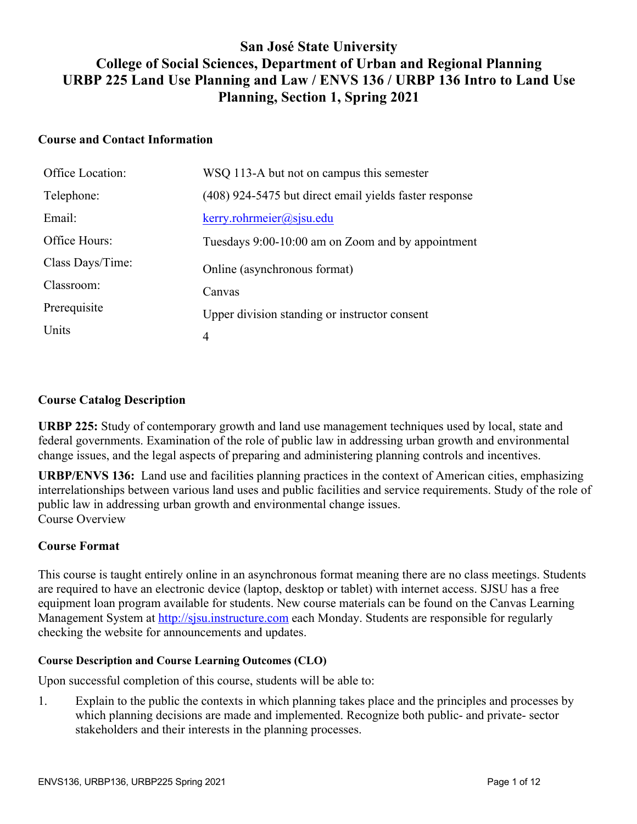## **San José State University College of Social Sciences, Department of Urban and Regional Planning URBP 225 Land Use Planning and Law / ENVS 136 / URBP 136 Intro to Land Use Planning, Section 1, Spring 2021**

#### **Course and Contact Information**

| Office Location: | WSQ 113-A but not on campus this semester              |
|------------------|--------------------------------------------------------|
| Telephone:       | (408) 924-5475 but direct email yields faster response |
| Email:           | $k$ erry.rohrmeier@sjsu.edu                            |
| Office Hours:    | Tuesdays 9:00-10:00 am on Zoom and by appointment      |
| Class Days/Time: | Online (asynchronous format)                           |
| Classroom:       | Canvas                                                 |
| Prerequisite     | Upper division standing or instructor consent          |
| Units            | 4                                                      |

#### **Course Catalog Description**

**URBP 225:** Study of contemporary growth and land use management techniques used by local, state and federal governments. Examination of the role of public law in addressing urban growth and environmental change issues, and the legal aspects of preparing and administering planning controls and incentives.

**URBP/ENVS 136:** Land use and facilities planning practices in the context of American cities, emphasizing interrelationships between various land uses and public facilities and service requirements. Study of the role of public law in addressing urban growth and environmental change issues. Course Overview

#### **Course Format**

This course is taught entirely online in an asynchronous format meaning there are no class meetings. Students are required to have an electronic device (laptop, desktop or tablet) with internet access. SJSU has a free equipment loan program available for students. New course materials can be found on the Canvas Learning Management System at http://sjsu.instructure.com each Monday. Students are responsible for regularly checking the website for announcements and updates.

#### **Course Description and Course Learning Outcomes (CLO)**

Upon successful completion of this course, students will be able to:

1. Explain to the public the contexts in which planning takes place and the principles and processes by which planning decisions are made and implemented. Recognize both public- and private- sector stakeholders and their interests in the planning processes.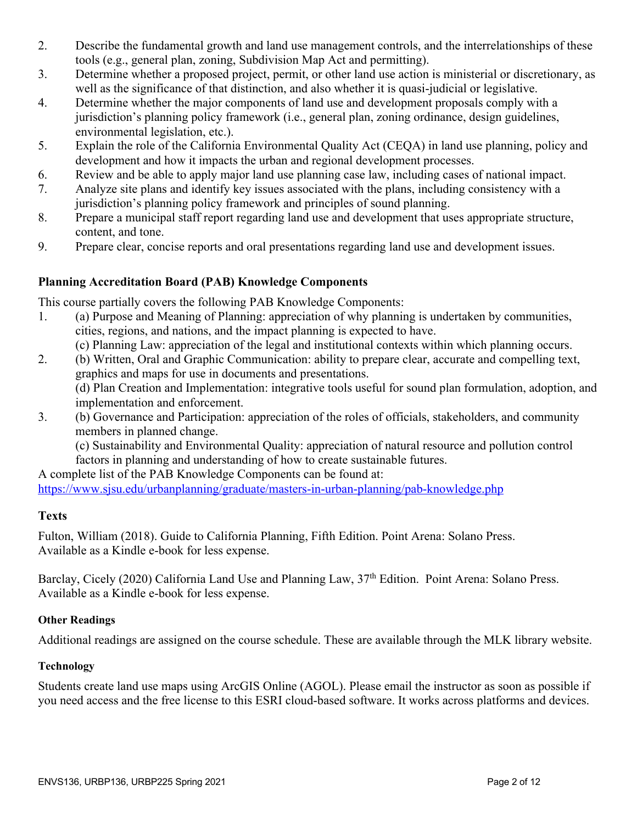- 2. Describe the fundamental growth and land use management controls, and the interrelationships of these tools (e.g., general plan, zoning, Subdivision Map Act and permitting).
- 3. Determine whether a proposed project, permit, or other land use action is ministerial or discretionary, as well as the significance of that distinction, and also whether it is quasi-judicial or legislative.
- 4. Determine whether the major components of land use and development proposals comply with a jurisdiction's planning policy framework (i.e., general plan, zoning ordinance, design guidelines, environmental legislation, etc.).
- 5. Explain the role of the California Environmental Quality Act (CEQA) in land use planning, policy and development and how it impacts the urban and regional development processes.
- 6. Review and be able to apply major land use planning case law, including cases of national impact.
- 7. Analyze site plans and identify key issues associated with the plans, including consistency with a jurisdiction's planning policy framework and principles of sound planning.
- 8. Prepare a municipal staff report regarding land use and development that uses appropriate structure, content, and tone.
- 9. Prepare clear, concise reports and oral presentations regarding land use and development issues.

## **Planning Accreditation Board (PAB) Knowledge Components**

This course partially covers the following PAB Knowledge Components:

- 1. (a) Purpose and Meaning of Planning: appreciation of why planning is undertaken by communities, cities, regions, and nations, and the impact planning is expected to have.
	- (c) Planning Law: appreciation of the legal and institutional contexts within which planning occurs.
- 2. (b) Written, Oral and Graphic Communication: ability to prepare clear, accurate and compelling text, graphics and maps for use in documents and presentations.

(d) Plan Creation and Implementation: integrative tools useful for sound plan formulation, adoption, and implementation and enforcement.

3. (b) Governance and Participation: appreciation of the roles of officials, stakeholders, and community members in planned change.

(c) Sustainability and Environmental Quality: appreciation of natural resource and pollution control factors in planning and understanding of how to create sustainable futures.

A complete list of the PAB Knowledge Components can be found at: https://www.sjsu.edu/urbanplanning/graduate/masters-in-urban-planning/pab-knowledge.php

## **Texts**

Fulton, William (2018). Guide to California Planning, Fifth Edition. Point Arena: Solano Press. Available as a Kindle e-book for less expense.

Barclay, Cicely (2020) California Land Use and Planning Law, 37<sup>th</sup> Edition. Point Arena: Solano Press. Available as a Kindle e-book for less expense.

## **Other Readings**

Additional readings are assigned on the course schedule. These are available through the MLK library website.

## **Technology**

Students create land use maps using ArcGIS Online (AGOL). Please email the instructor as soon as possible if you need access and the free license to this ESRI cloud-based software. It works across platforms and devices.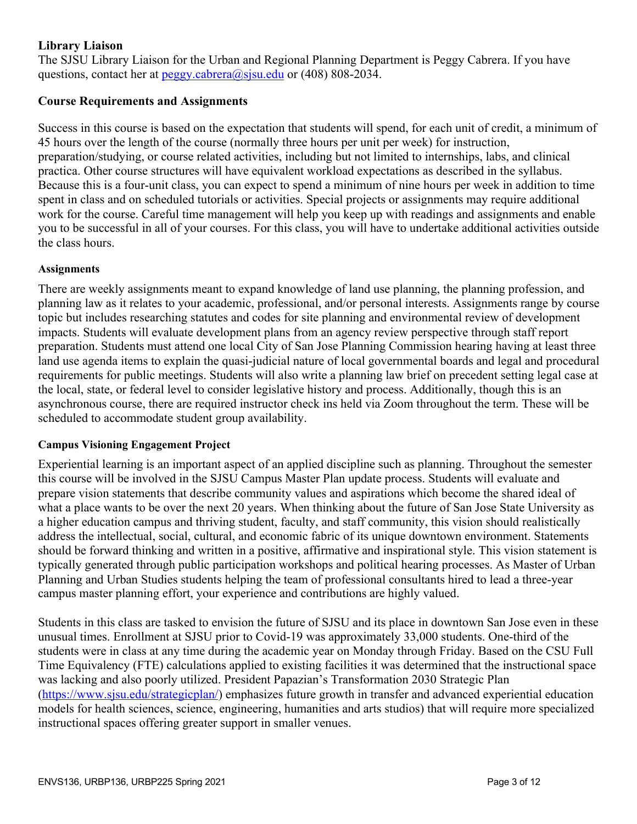## **Library Liaison**

The SJSU Library Liaison for the Urban and Regional Planning Department is Peggy Cabrera. If you have questions, contact her at  $peggy.cabrera@sjsu.edu$  or (408) 808-2034.

## **Course Requirements and Assignments**

Success in this course is based on the expectation that students will spend, for each unit of credit, a minimum of 45 hours over the length of the course (normally three hours per unit per week) for instruction, preparation/studying, or course related activities, including but not limited to internships, labs, and clinical practica. Other course structures will have equivalent workload expectations as described in the syllabus. Because this is a four-unit class, you can expect to spend a minimum of nine hours per week in addition to time spent in class and on scheduled tutorials or activities. Special projects or assignments may require additional work for the course. Careful time management will help you keep up with readings and assignments and enable you to be successful in all of your courses. For this class, you will have to undertake additional activities outside the class hours.

#### **Assignments**

There are weekly assignments meant to expand knowledge of land use planning, the planning profession, and planning law as it relates to your academic, professional, and/or personal interests. Assignments range by course topic but includes researching statutes and codes for site planning and environmental review of development impacts. Students will evaluate development plans from an agency review perspective through staff report preparation. Students must attend one local City of San Jose Planning Commission hearing having at least three land use agenda items to explain the quasi-judicial nature of local governmental boards and legal and procedural requirements for public meetings. Students will also write a planning law brief on precedent setting legal case at the local, state, or federal level to consider legislative history and process. Additionally, though this is an asynchronous course, there are required instructor check ins held via Zoom throughout the term. These will be scheduled to accommodate student group availability.

#### **Campus Visioning Engagement Project**

Experiential learning is an important aspect of an applied discipline such as planning. Throughout the semester this course will be involved in the SJSU Campus Master Plan update process. Students will evaluate and prepare vision statements that describe community values and aspirations which become the shared ideal of what a place wants to be over the next 20 years. When thinking about the future of San Jose State University as a higher education campus and thriving student, faculty, and staff community, this vision should realistically address the intellectual, social, cultural, and economic fabric of its unique downtown environment. Statements should be forward thinking and written in a positive, affirmative and inspirational style. This vision statement is typically generated through public participation workshops and political hearing processes. As Master of Urban Planning and Urban Studies students helping the team of professional consultants hired to lead a three-year campus master planning effort, your experience and contributions are highly valued.

Students in this class are tasked to envision the future of SJSU and its place in downtown San Jose even in these unusual times. Enrollment at SJSU prior to Covid-19 was approximately 33,000 students. One-third of the students were in class at any time during the academic year on Monday through Friday. Based on the CSU Full Time Equivalency (FTE) calculations applied to existing facilities it was determined that the instructional space was lacking and also poorly utilized. President Papazian's Transformation 2030 Strategic Plan (https://www.sjsu.edu/strategicplan/) emphasizes future growth in transfer and advanced experiential education models for health sciences, science, engineering, humanities and arts studios) that will require more specialized instructional spaces offering greater support in smaller venues.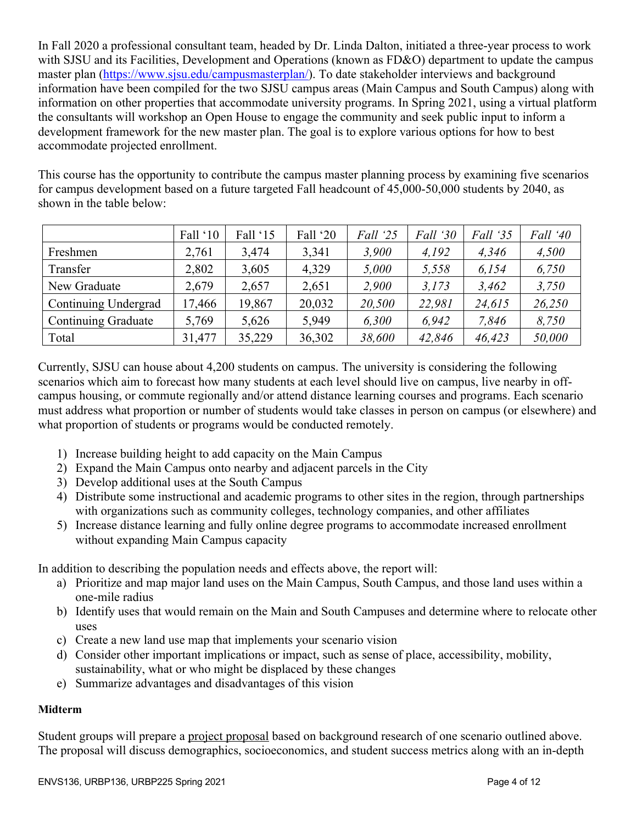In Fall 2020 a professional consultant team, headed by Dr. Linda Dalton, initiated a three-year process to work with SJSU and its Facilities, Development and Operations (known as FD&O) department to update the campus master plan (https://www.sjsu.edu/campusmasterplan/). To date stakeholder interviews and background information have been compiled for the two SJSU campus areas (Main Campus and South Campus) along with information on other properties that accommodate university programs. In Spring 2021, using a virtual platform the consultants will workshop an Open House to engage the community and seek public input to inform a development framework for the new master plan. The goal is to explore various options for how to best accommodate projected enrollment.

This course has the opportunity to contribute the campus master planning process by examining five scenarios for campus development based on a future targeted Fall headcount of 45,000-50,000 students by 2040, as shown in the table below:

|                      | Fall '10 | Fall '15 | Fall '20 | Fall '25 | Fall '30 | Fall '35 | Fall '40 |
|----------------------|----------|----------|----------|----------|----------|----------|----------|
| Freshmen             | 2,761    | 3,474    | 3,341    | 3,900    | 4.192    | 4,346    | 4,500    |
| Transfer             | 2,802    | 3,605    | 4,329    | 5,000    | 5,558    | 6,154    | 6,750    |
| New Graduate         | 2,679    | 2,657    | 2,651    | 2,900    | 3,173    | 3,462    | 3,750    |
| Continuing Undergrad | 17,466   | 19,867   | 20,032   | 20,500   | 22,981   | 24,615   | 26,250   |
| Continuing Graduate  | 5,769    | 5,626    | 5,949    | 6.300    | 6.942    | 7,846    | 8.750    |
| Total                | 31,477   | 35,229   | 36,302   | 38,600   | 42,846   | 46,423   | 50,000   |

Currently, SJSU can house about 4,200 students on campus. The university is considering the following scenarios which aim to forecast how many students at each level should live on campus, live nearby in offcampus housing, or commute regionally and/or attend distance learning courses and programs. Each scenario must address what proportion or number of students would take classes in person on campus (or elsewhere) and what proportion of students or programs would be conducted remotely.

- 1) Increase building height to add capacity on the Main Campus
- 2) Expand the Main Campus onto nearby and adjacent parcels in the City
- 3) Develop additional uses at the South Campus
- 4) Distribute some instructional and academic programs to other sites in the region, through partnerships with organizations such as community colleges, technology companies, and other affiliates
- 5) Increase distance learning and fully online degree programs to accommodate increased enrollment without expanding Main Campus capacity

In addition to describing the population needs and effects above, the report will:

- a) Prioritize and map major land uses on the Main Campus, South Campus, and those land uses within a one-mile radius
- b) Identify uses that would remain on the Main and South Campuses and determine where to relocate other uses
- c) Create a new land use map that implements your scenario vision
- d) Consider other important implications or impact, such as sense of place, accessibility, mobility, sustainability, what or who might be displaced by these changes
- e) Summarize advantages and disadvantages of this vision

## **Midterm**

Student groups will prepare a project proposal based on background research of one scenario outlined above. The proposal will discuss demographics, socioeconomics, and student success metrics along with an in-depth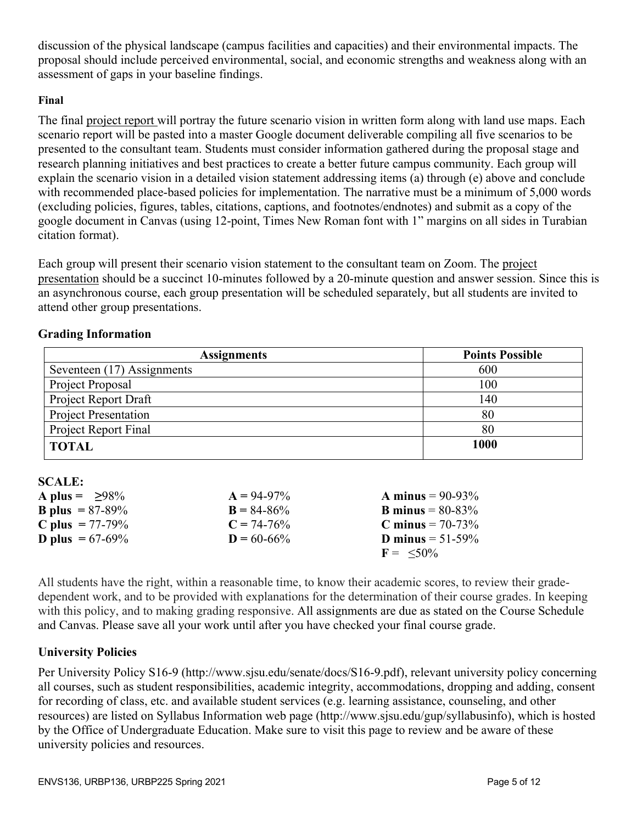discussion of the physical landscape (campus facilities and capacities) and their environmental impacts. The proposal should include perceived environmental, social, and economic strengths and weakness along with an assessment of gaps in your baseline findings.

#### **Final**

The final project report will portray the future scenario vision in written form along with land use maps. Each scenario report will be pasted into a master Google document deliverable compiling all five scenarios to be presented to the consultant team. Students must consider information gathered during the proposal stage and research planning initiatives and best practices to create a better future campus community. Each group will explain the scenario vision in a detailed vision statement addressing items (a) through (e) above and conclude with recommended place-based policies for implementation. The narrative must be a minimum of 5,000 words (excluding policies, figures, tables, citations, captions, and footnotes/endnotes) and submit as a copy of the google document in Canvas (using 12-point, Times New Roman font with 1" margins on all sides in Turabian citation format).

Each group will present their scenario vision statement to the consultant team on Zoom. The project presentation should be a succinct 10-minutes followed by a 20-minute question and answer session. Since this is an asynchronous course, each group presentation will be scheduled separately, but all students are invited to attend other group presentations.

#### **Grading Information**

| <b>Assignments</b>          | <b>Points Possible</b> |
|-----------------------------|------------------------|
| Seventeen (17) Assignments  | 600                    |
| Project Proposal            | 100                    |
| Project Report Draft        | 140                    |
| <b>Project Presentation</b> | 80                     |
| Project Report Final        | 80                     |
| <b>TOTAL</b>                | 1000                   |

| A plus = $\geq 98\%$      | $A = 94-97\%$   | <b>A</b> minus = $90-93\%$ |
|---------------------------|-----------------|----------------------------|
| <b>B</b> plus = $87-89%$  | $B = 84 - 86%$  | <b>B</b> minus = $80-83%$  |
| <b>C</b> plus $= 77-79%$  | $C = 74-76%$    | <b>C</b> minus = $70-73%$  |
| <b>D</b> plus = $67-69\%$ | $D = 60 - 66\%$ | <b>D</b> minus = $51-59%$  |
|                           |                 | $F = \leq 50\%$            |

All students have the right, within a reasonable time, to know their academic scores, to review their gradedependent work, and to be provided with explanations for the determination of their course grades. In keeping with this policy, and to making grading responsive. All assignments are due as stated on the Course Schedule and Canvas. Please save all your work until after you have checked your final course grade.

## **University Policies**

**SCALE:**

Per University Policy S16-9 (http://www.sjsu.edu/senate/docs/S16-9.pdf), relevant university policy concerning all courses, such as student responsibilities, academic integrity, accommodations, dropping and adding, consent for recording of class, etc. and available student services (e.g. learning assistance, counseling, and other resources) are listed on Syllabus Information web page (http://www.sjsu.edu/gup/syllabusinfo), which is hosted by the Office of Undergraduate Education. Make sure to visit this page to review and be aware of these university policies and resources.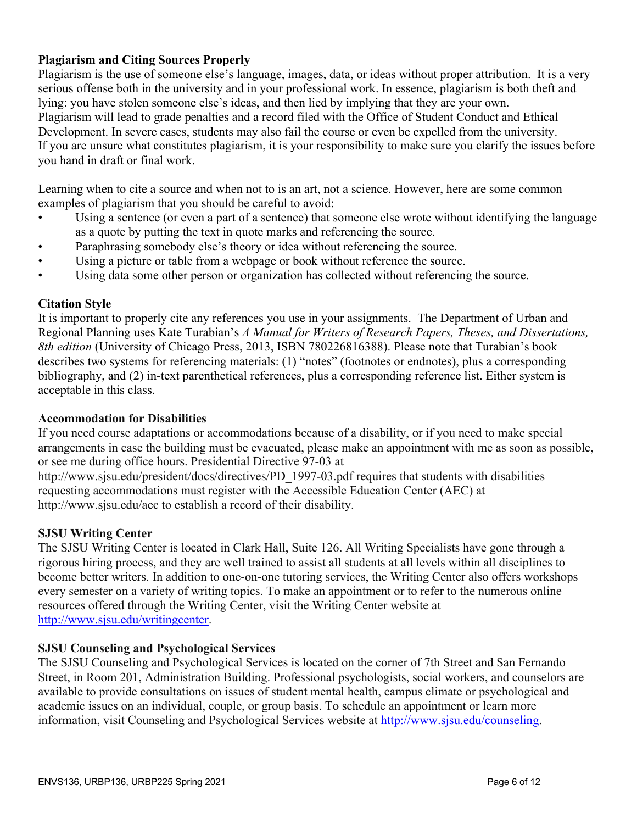## **Plagiarism and Citing Sources Properly**

Plagiarism is the use of someone else's language, images, data, or ideas without proper attribution. It is a very serious offense both in the university and in your professional work. In essence, plagiarism is both theft and lying: you have stolen someone else's ideas, and then lied by implying that they are your own. Plagiarism will lead to grade penalties and a record filed with the Office of Student Conduct and Ethical Development. In severe cases, students may also fail the course or even be expelled from the university. If you are unsure what constitutes plagiarism, it is your responsibility to make sure you clarify the issues before you hand in draft or final work.

Learning when to cite a source and when not to is an art, not a science. However, here are some common examples of plagiarism that you should be careful to avoid:

- Using a sentence (or even a part of a sentence) that someone else wrote without identifying the language as a quote by putting the text in quote marks and referencing the source.
- Paraphrasing somebody else's theory or idea without referencing the source.
- Using a picture or table from a webpage or book without reference the source.
- Using data some other person or organization has collected without referencing the source.

## **Citation Style**

It is important to properly cite any references you use in your assignments. The Department of Urban and Regional Planning uses Kate Turabian's *A Manual for Writers of Research Papers, Theses, and Dissertations, 8th edition* (University of Chicago Press, 2013, ISBN 780226816388). Please note that Turabian's book describes two systems for referencing materials: (1) "notes" (footnotes or endnotes), plus a corresponding bibliography, and (2) in-text parenthetical references, plus a corresponding reference list. Either system is acceptable in this class.

## **Accommodation for Disabilities**

If you need course adaptations or accommodations because of a disability, or if you need to make special arrangements in case the building must be evacuated, please make an appointment with me as soon as possible, or see me during office hours. Presidential Directive 97-03 at

http://www.sjsu.edu/president/docs/directives/PD\_1997-03.pdf requires that students with disabilities requesting accommodations must register with the Accessible Education Center (AEC) at http://www.sjsu.edu/aec to establish a record of their disability.

## **SJSU Writing Center**

The SJSU Writing Center is located in Clark Hall, Suite 126. All Writing Specialists have gone through a rigorous hiring process, and they are well trained to assist all students at all levels within all disciplines to become better writers. In addition to one-on-one tutoring services, the Writing Center also offers workshops every semester on a variety of writing topics. To make an appointment or to refer to the numerous online resources offered through the Writing Center, visit the Writing Center website at http://www.sjsu.edu/writingcenter.

## **SJSU Counseling and Psychological Services**

The SJSU Counseling and Psychological Services is located on the corner of 7th Street and San Fernando Street, in Room 201, Administration Building. Professional psychologists, social workers, and counselors are available to provide consultations on issues of student mental health, campus climate or psychological and academic issues on an individual, couple, or group basis. To schedule an appointment or learn more information, visit Counseling and Psychological Services website at http://www.sjsu.edu/counseling.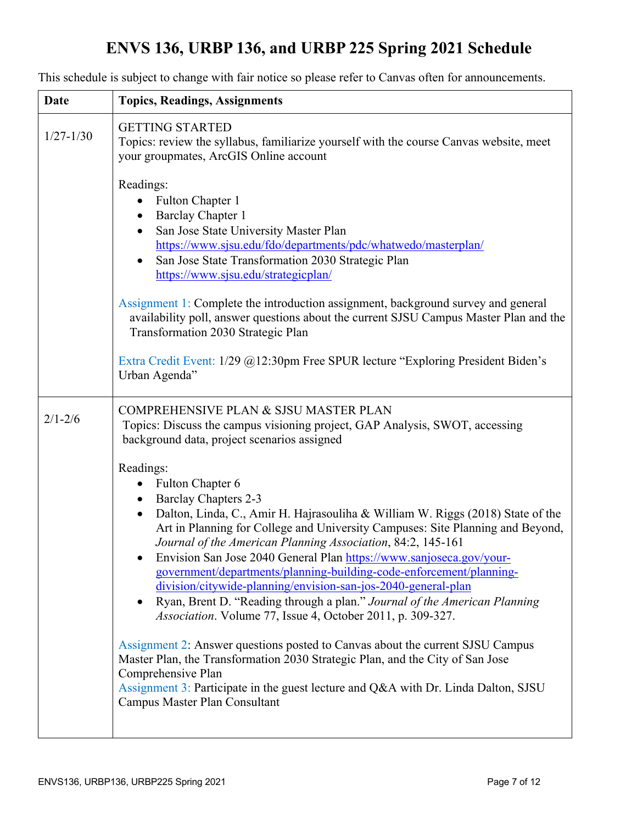# **ENVS 136, URBP 136, and URBP 225 Spring 2021 Schedule**

| <b>Date</b>   | <b>Topics, Readings, Assignments</b>                                                                                                                                                                                                                                                                                                                                                                                                                                                                                                                                                                                                                                                                                                                                                                                                                                                                                                                                                         |
|---------------|----------------------------------------------------------------------------------------------------------------------------------------------------------------------------------------------------------------------------------------------------------------------------------------------------------------------------------------------------------------------------------------------------------------------------------------------------------------------------------------------------------------------------------------------------------------------------------------------------------------------------------------------------------------------------------------------------------------------------------------------------------------------------------------------------------------------------------------------------------------------------------------------------------------------------------------------------------------------------------------------|
| $1/27 - 1/30$ | <b>GETTING STARTED</b><br>Topics: review the syllabus, familiarize yourself with the course Canvas website, meet<br>your groupmates, ArcGIS Online account                                                                                                                                                                                                                                                                                                                                                                                                                                                                                                                                                                                                                                                                                                                                                                                                                                   |
|               | Readings:<br>Fulton Chapter 1<br><b>Barclay Chapter 1</b><br>San Jose State University Master Plan<br>https://www.sjsu.edu/fdo/departments/pdc/whatwedo/masterplan/<br>San Jose State Transformation 2030 Strategic Plan<br>https://www.sjsu.edu/strategicplan/                                                                                                                                                                                                                                                                                                                                                                                                                                                                                                                                                                                                                                                                                                                              |
|               | Assignment 1: Complete the introduction assignment, background survey and general<br>availability poll, answer questions about the current SJSU Campus Master Plan and the<br>Transformation 2030 Strategic Plan                                                                                                                                                                                                                                                                                                                                                                                                                                                                                                                                                                                                                                                                                                                                                                             |
|               | Extra Credit Event: 1/29 @12:30pm Free SPUR lecture "Exploring President Biden's<br>Urban Agenda"                                                                                                                                                                                                                                                                                                                                                                                                                                                                                                                                                                                                                                                                                                                                                                                                                                                                                            |
| $2/1 - 2/6$   | <b>COMPREHENSIVE PLAN &amp; SJSU MASTER PLAN</b><br>Topics: Discuss the campus visioning project, GAP Analysis, SWOT, accessing<br>background data, project scenarios assigned                                                                                                                                                                                                                                                                                                                                                                                                                                                                                                                                                                                                                                                                                                                                                                                                               |
|               | Readings:<br><b>Fulton Chapter 6</b><br><b>Barclay Chapters 2-3</b><br>Dalton, Linda, C., Amir H. Hajrasouliha & William W. Riggs (2018) State of the<br>$\bullet$<br>Art in Planning for College and University Campuses: Site Planning and Beyond,<br>Journal of the American Planning Association, 84:2, 145-161<br>Envision San Jose 2040 General Plan https://www.sanjoseca.gov/your-<br>government/departments/planning-building-code-enforcement/planning-<br>division/citywide-planning/envision-san-jos-2040-general-plan<br>Ryan, Brent D. "Reading through a plan." Journal of the American Planning<br>Association. Volume 77, Issue 4, October 2011, p. 309-327.<br>Assignment 2: Answer questions posted to Canvas about the current SJSU Campus<br>Master Plan, the Transformation 2030 Strategic Plan, and the City of San Jose<br>Comprehensive Plan<br>Assignment 3: Participate in the guest lecture and Q&A with Dr. Linda Dalton, SJSU<br>Campus Master Plan Consultant |
|               |                                                                                                                                                                                                                                                                                                                                                                                                                                                                                                                                                                                                                                                                                                                                                                                                                                                                                                                                                                                              |

This schedule is subject to change with fair notice so please refer to Canvas often for announcements.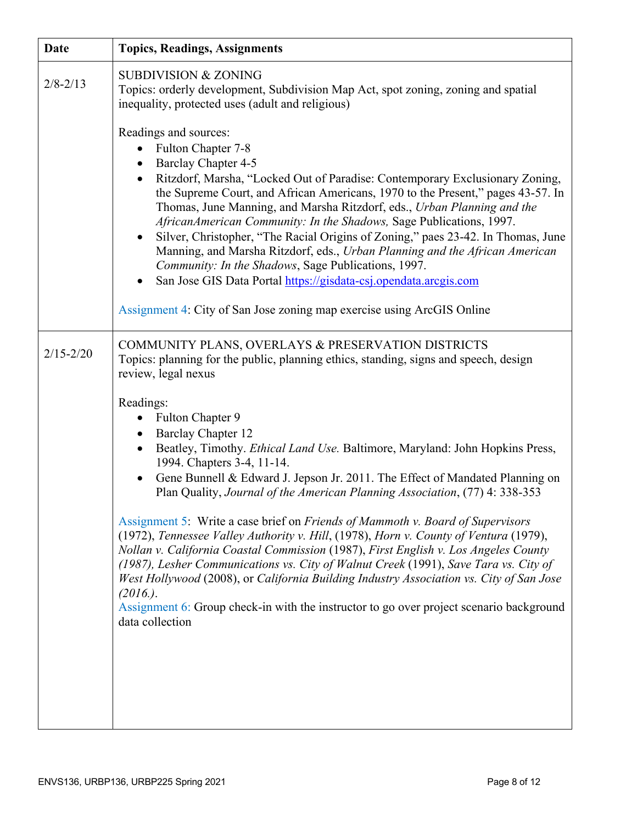| <b>Date</b>   | <b>Topics, Readings, Assignments</b>                                                                                                                                                                                                                                                                                                                                                                                                                                                                                                                                                                                                                                                                                                                                                                                                                                                                                                    |
|---------------|-----------------------------------------------------------------------------------------------------------------------------------------------------------------------------------------------------------------------------------------------------------------------------------------------------------------------------------------------------------------------------------------------------------------------------------------------------------------------------------------------------------------------------------------------------------------------------------------------------------------------------------------------------------------------------------------------------------------------------------------------------------------------------------------------------------------------------------------------------------------------------------------------------------------------------------------|
| $2/8 - 2/13$  | <b>SUBDIVISION &amp; ZONING</b><br>Topics: orderly development, Subdivision Map Act, spot zoning, zoning and spatial<br>inequality, protected uses (adult and religious)                                                                                                                                                                                                                                                                                                                                                                                                                                                                                                                                                                                                                                                                                                                                                                |
|               | Readings and sources:<br>Fulton Chapter 7-8<br>$\bullet$<br>Barclay Chapter 4-5<br>Ritzdorf, Marsha, "Locked Out of Paradise: Contemporary Exclusionary Zoning,<br>$\bullet$<br>the Supreme Court, and African Americans, 1970 to the Present," pages 43-57. In<br>Thomas, June Manning, and Marsha Ritzdorf, eds., Urban Planning and the<br>AfricanAmerican Community: In the Shadows, Sage Publications, 1997.<br>Silver, Christopher, "The Racial Origins of Zoning," paes 23-42. In Thomas, June<br>Manning, and Marsha Ritzdorf, eds., Urban Planning and the African American<br>Community: In the Shadows, Sage Publications, 1997.<br>San Jose GIS Data Portal https://gisdata-csj.opendata.arcgis.com<br>Assignment 4: City of San Jose zoning map exercise using ArcGIS Online                                                                                                                                               |
| $2/15 - 2/20$ | COMMUNITY PLANS, OVERLAYS & PRESERVATION DISTRICTS<br>Topics: planning for the public, planning ethics, standing, signs and speech, design<br>review, legal nexus                                                                                                                                                                                                                                                                                                                                                                                                                                                                                                                                                                                                                                                                                                                                                                       |
|               | Readings:<br>• Fulton Chapter 9<br><b>Barclay Chapter 12</b><br>$\bullet$<br>Beatley, Timothy. Ethical Land Use. Baltimore, Maryland: John Hopkins Press,<br>1994. Chapters 3-4, 11-14.<br>Gene Bunnell & Edward J. Jepson Jr. 2011. The Effect of Mandated Planning on<br>Plan Quality, Journal of the American Planning Association, (77) 4: 338-353<br>Assignment 5: Write a case brief on Friends of Mammoth v. Board of Supervisors<br>(1972), Tennessee Valley Authority v. Hill, (1978), Horn v. County of Ventura (1979),<br>Nollan v. California Coastal Commission (1987), First English v. Los Angeles County<br>(1987), Lesher Communications vs. City of Walnut Creek (1991), Save Tara vs. City of<br>West Hollywood (2008), or California Building Industry Association vs. City of San Jose<br>$(2016)$ .<br>Assignment 6: Group check-in with the instructor to go over project scenario background<br>data collection |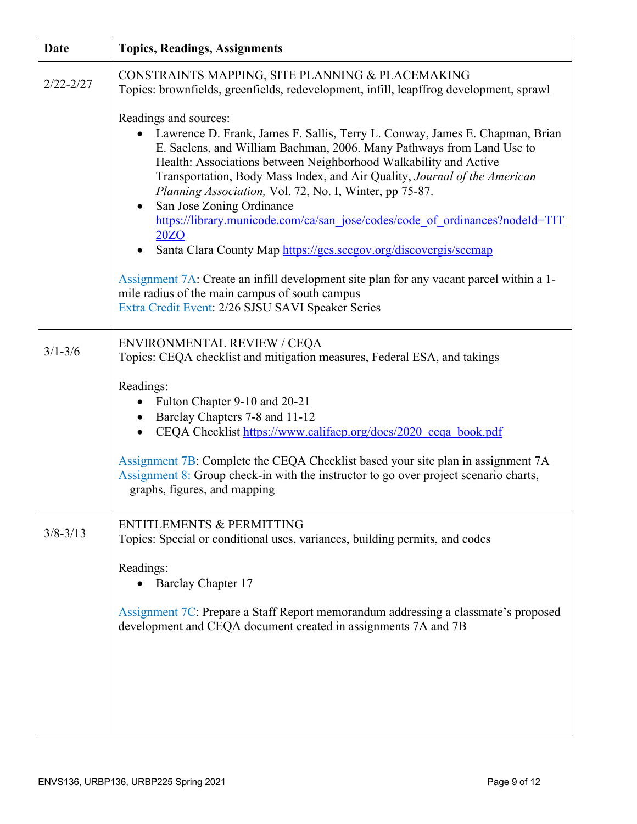| <b>Date</b>   | <b>Topics, Readings, Assignments</b>                                                                                                                                                                                                                                                                                                                                                                                                                                                                                                                                                             |
|---------------|--------------------------------------------------------------------------------------------------------------------------------------------------------------------------------------------------------------------------------------------------------------------------------------------------------------------------------------------------------------------------------------------------------------------------------------------------------------------------------------------------------------------------------------------------------------------------------------------------|
| $2/22 - 2/27$ | CONSTRAINTS MAPPING, SITE PLANNING & PLACEMAKING<br>Topics: brownfields, greenfields, redevelopment, infill, leapffrog development, sprawl                                                                                                                                                                                                                                                                                                                                                                                                                                                       |
|               | Readings and sources:<br>Lawrence D. Frank, James F. Sallis, Terry L. Conway, James E. Chapman, Brian<br>$\bullet$<br>E. Saelens, and William Bachman, 2006. Many Pathways from Land Use to<br>Health: Associations between Neighborhood Walkability and Active<br>Transportation, Body Mass Index, and Air Quality, Journal of the American<br>Planning Association, Vol. 72, No. I, Winter, pp 75-87.<br>San Jose Zoning Ordinance<br>https://library.municode.com/ca/san_jose/codes/code_of_ordinances?nodeId=TIT<br>20ZO<br>Santa Clara County Map https://ges.sccgov.org/discovergis/sccmap |
|               | Assignment 7A: Create an infill development site plan for any vacant parcel within a 1-<br>mile radius of the main campus of south campus<br>Extra Credit Event: 2/26 SJSU SAVI Speaker Series                                                                                                                                                                                                                                                                                                                                                                                                   |
| $3/1 - 3/6$   | <b>ENVIRONMENTAL REVIEW / CEQA</b><br>Topics: CEQA checklist and mitigation measures, Federal ESA, and takings                                                                                                                                                                                                                                                                                                                                                                                                                                                                                   |
|               | Readings:<br>Fulton Chapter 9-10 and 20-21<br>$\bullet$<br>Barclay Chapters 7-8 and 11-12<br>CEQA Checklist https://www.califaep.org/docs/2020_ceqa_book.pdf<br>$\bullet$<br>Assignment 7B: Complete the CEQA Checklist based your site plan in assignment 7A<br>Assignment 8: Group check-in with the instructor to go over project scenario charts,<br>graphs, figures, and mapping                                                                                                                                                                                                            |
| $3/8 - 3/13$  | <b>ENTITLEMENTS &amp; PERMITTING</b><br>Topics: Special or conditional uses, variances, building permits, and codes                                                                                                                                                                                                                                                                                                                                                                                                                                                                              |
|               | Readings:<br>Barclay Chapter 17<br>Assignment 7C: Prepare a Staff Report memorandum addressing a classmate's proposed<br>development and CEQA document created in assignments 7A and 7B                                                                                                                                                                                                                                                                                                                                                                                                          |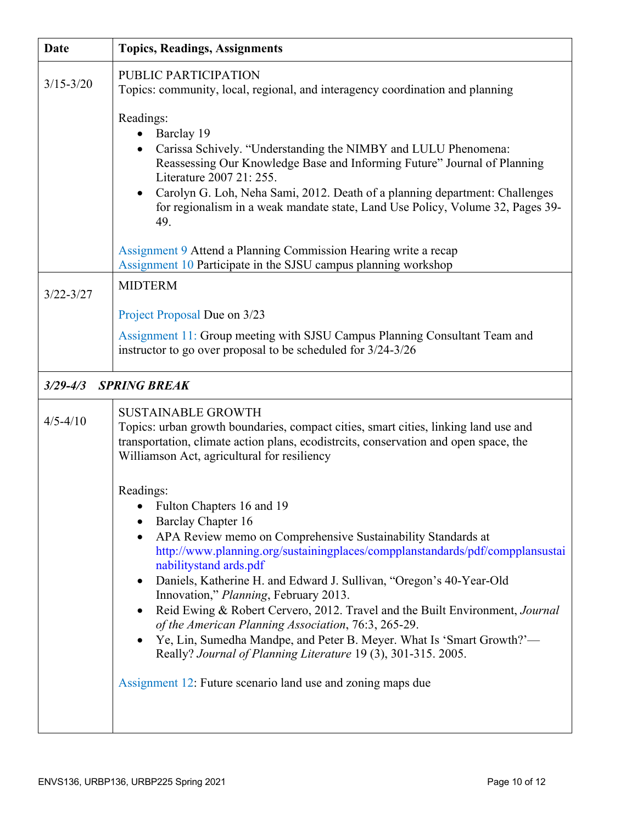| <b>Date</b>   | <b>Topics, Readings, Assignments</b>                                                                                                                                                                                                                                                                                                                                                                                                                                                                                                                                                                                                                                                                                             |
|---------------|----------------------------------------------------------------------------------------------------------------------------------------------------------------------------------------------------------------------------------------------------------------------------------------------------------------------------------------------------------------------------------------------------------------------------------------------------------------------------------------------------------------------------------------------------------------------------------------------------------------------------------------------------------------------------------------------------------------------------------|
| $3/15 - 3/20$ | PUBLIC PARTICIPATION<br>Topics: community, local, regional, and interagency coordination and planning<br>Readings:<br>Barclay 19<br>$\bullet$<br>Carissa Schively. "Understanding the NIMBY and LULU Phenomena:<br>Reassessing Our Knowledge Base and Informing Future" Journal of Planning<br>Literature 2007 21: 255.<br>Carolyn G. Loh, Neha Sami, 2012. Death of a planning department: Challenges<br>for regionalism in a weak mandate state, Land Use Policy, Volume 32, Pages 39-<br>49.                                                                                                                                                                                                                                  |
|               | Assignment 9 Attend a Planning Commission Hearing write a recap<br>Assignment 10 Participate in the SJSU campus planning workshop                                                                                                                                                                                                                                                                                                                                                                                                                                                                                                                                                                                                |
| $3/22 - 3/27$ | <b>MIDTERM</b><br>Project Proposal Due on 3/23<br>Assignment 11: Group meeting with SJSU Campus Planning Consultant Team and<br>instructor to go over proposal to be scheduled for 3/24-3/26                                                                                                                                                                                                                                                                                                                                                                                                                                                                                                                                     |
| $3/29 - 4/3$  | <b>SPRING BREAK</b>                                                                                                                                                                                                                                                                                                                                                                                                                                                                                                                                                                                                                                                                                                              |
| $4/5 - 4/10$  | <b>SUSTAINABLE GROWTH</b><br>Topics: urban growth boundaries, compact cities, smart cities, linking land use and<br>transportation, climate action plans, ecodistrcits, conservation and open space, the<br>Williamson Act, agricultural for resiliency                                                                                                                                                                                                                                                                                                                                                                                                                                                                          |
|               | Readings:<br>Fulton Chapters 16 and 19<br><b>Barclay Chapter 16</b><br>APA Review memo on Comprehensive Sustainability Standards at<br>http://www.planning.org/sustainingplaces/compplanstandards/pdf/compplansustai<br>nabilitystand ards.pdf<br>Daniels, Katherine H. and Edward J. Sullivan, "Oregon's 40-Year-Old<br>٠<br>Innovation," Planning, February 2013.<br>Reid Ewing & Robert Cervero, 2012. Travel and the Built Environment, Journal<br>of the American Planning Association, 76:3, 265-29.<br>Ye, Lin, Sumedha Mandpe, and Peter B. Meyer. What Is 'Smart Growth?'-<br>$\bullet$<br>Really? Journal of Planning Literature 19 (3), 301-315. 2005.<br>Assignment 12: Future scenario land use and zoning maps due |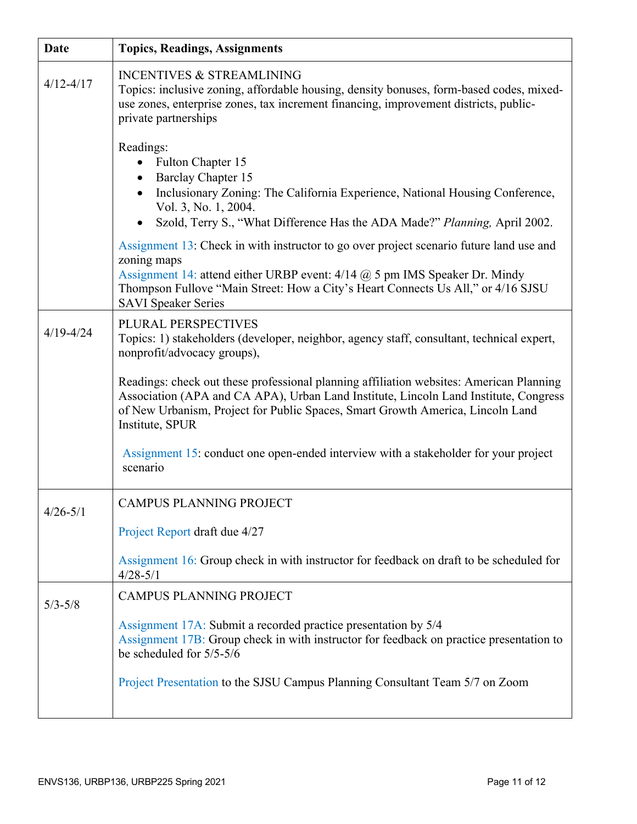| <b>Date</b>   | <b>Topics, Readings, Assignments</b>                                                                                                                                                                                                                                                                   |
|---------------|--------------------------------------------------------------------------------------------------------------------------------------------------------------------------------------------------------------------------------------------------------------------------------------------------------|
| $4/12 - 4/17$ | <b>INCENTIVES &amp; STREAMLINING</b><br>Topics: inclusive zoning, affordable housing, density bonuses, form-based codes, mixed-<br>use zones, enterprise zones, tax increment financing, improvement districts, public-<br>private partnerships                                                        |
|               | Readings:<br>• Fulton Chapter 15<br><b>Barclay Chapter 15</b><br>$\bullet$<br>Inclusionary Zoning: The California Experience, National Housing Conference,<br>Vol. 3, No. 1, 2004.<br>Szold, Terry S., "What Difference Has the ADA Made?" Planning, April 2002.<br>$\bullet$                          |
|               | Assignment 13: Check in with instructor to go over project scenario future land use and<br>zoning maps<br>Assignment 14: attend either URBP event: 4/14 @ 5 pm IMS Speaker Dr. Mindy<br>Thompson Fullove "Main Street: How a City's Heart Connects Us All," or 4/16 SJSU<br><b>SAVI Speaker Series</b> |
| $4/19 - 4/24$ | PLURAL PERSPECTIVES<br>Topics: 1) stakeholders (developer, neighbor, agency staff, consultant, technical expert,<br>nonprofit/advocacy groups),                                                                                                                                                        |
|               | Readings: check out these professional planning affiliation websites: American Planning<br>Association (APA and CA APA), Urban Land Institute, Lincoln Land Institute, Congress<br>of New Urbanism, Project for Public Spaces, Smart Growth America, Lincoln Land<br>Institute, SPUR                   |
|               | Assignment 15: conduct one open-ended interview with a stakeholder for your project<br>scenario                                                                                                                                                                                                        |
| $4/26 - 5/1$  | CAMPUS PLANNING PROJECT                                                                                                                                                                                                                                                                                |
|               | Project Report draft due 4/27                                                                                                                                                                                                                                                                          |
|               | Assignment 16: Group check in with instructor for feedback on draft to be scheduled for<br>$4/28 - 5/1$                                                                                                                                                                                                |
| $5/3 - 5/8$   | <b>CAMPUS PLANNING PROJECT</b>                                                                                                                                                                                                                                                                         |
|               | Assignment 17A: Submit a recorded practice presentation by 5/4<br>Assignment 17B: Group check in with instructor for feedback on practice presentation to<br>be scheduled for 5/5-5/6                                                                                                                  |
|               | Project Presentation to the SJSU Campus Planning Consultant Team 5/7 on Zoom                                                                                                                                                                                                                           |